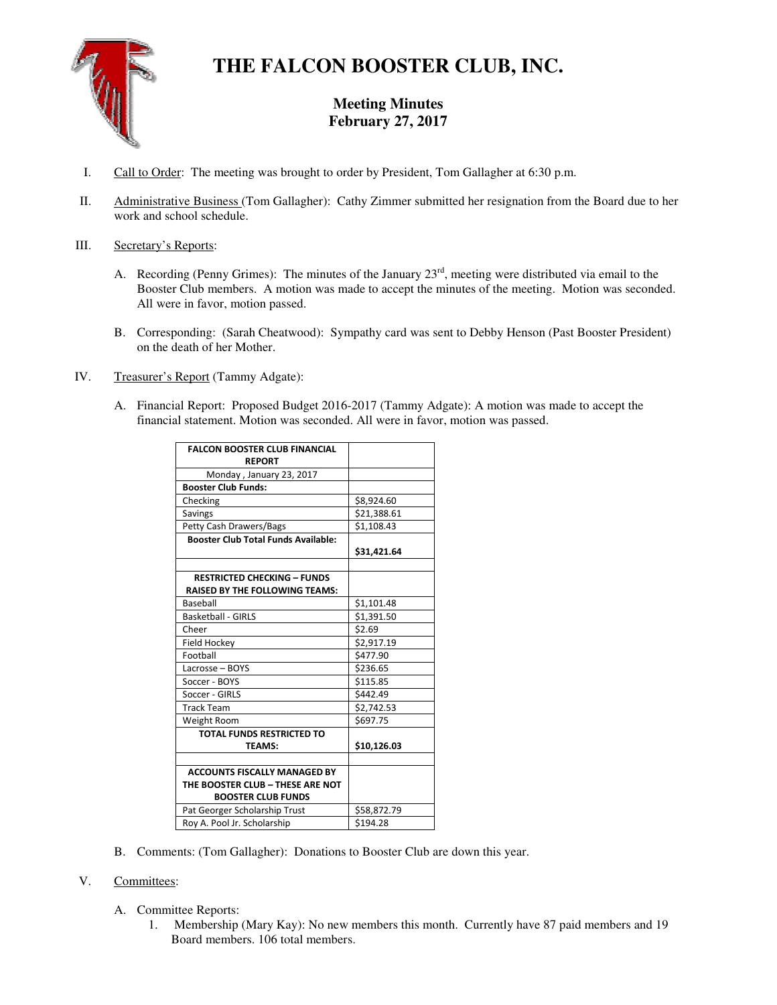

# **THE FALCON BOOSTER CLUB, INC.**

# **Meeting Minutes February 27, 2017**

- I. Call to Order: The meeting was brought to order by President, Tom Gallagher at 6:30 p.m.
- II. Administrative Business (Tom Gallagher): Cathy Zimmer submitted her resignation from the Board due to her work and school schedule.

#### III. Secretary's Reports:

- A. Recording (Penny Grimes): The minutes of the January  $23<sup>rd</sup>$ , meeting were distributed via email to the Booster Club members. A motion was made to accept the minutes of the meeting. Motion was seconded. All were in favor, motion passed.
- B. Corresponding: (Sarah Cheatwood): Sympathy card was sent to Debby Henson (Past Booster President) on the death of her Mother.
- IV. Treasurer's Report (Tammy Adgate):
	- A. Financial Report: Proposed Budget 2016-2017 (Tammy Adgate): A motion was made to accept the financial statement. Motion was seconded. All were in favor, motion was passed.

| <b>FALCON BOOSTER CLUB FINANCIAL</b>       |                        |
|--------------------------------------------|------------------------|
| <b>REPORT</b>                              |                        |
| Monday, January 23, 2017                   |                        |
| <b>Booster Club Funds:</b>                 |                        |
| Checking                                   | \$8,924.60             |
| Savings                                    | \$21,388.61            |
| <b>Petty Cash Drawers/Bags</b>             | \$1,108.43             |
| <b>Booster Club Total Funds Available:</b> |                        |
|                                            | \$31,421.64            |
|                                            |                        |
| <b>RESTRICTED CHECKING - FUNDS</b>         |                        |
| <b>RAISED BY THE FOLLOWING TEAMS:</b>      |                        |
| Baseball                                   | \$1,101.48             |
| <b>Basketball - GIRLS</b>                  | \$1,391.50             |
| Cheer                                      | \$2.69                 |
| Field Hockey                               | $\overline{$}2,917.19$ |
| Football                                   | \$477.90               |
| Lacrosse - BOYS                            | \$236.65               |
| Soccer - BOYS                              | \$115.85               |
| Soccer - GIRLS                             | \$442.49               |
| <b>Track Team</b>                          | \$2,742.53             |
| Weight Room                                | \$697.75               |
| <b>TOTAL FUNDS RESTRICTED TO</b>           |                        |
| <b>TEAMS:</b>                              | \$10,126.03            |
|                                            |                        |
| <b>ACCOUNTS FISCALLY MANAGED BY</b>        |                        |
| THE BOOSTER CLUB - THESE ARE NOT           |                        |
| <b>BOOSTER CLUB FUNDS</b>                  |                        |
| Pat Georger Scholarship Trust              | \$58,872.79            |
| Roy A. Pool Jr. Scholarship                | \$194.28               |

B. Comments: (Tom Gallagher): Donations to Booster Club are down this year.

## V. Committees:

- A. Committee Reports:
	- 1. Membership (Mary Kay): No new members this month. Currently have 87 paid members and 19 Board members. 106 total members.